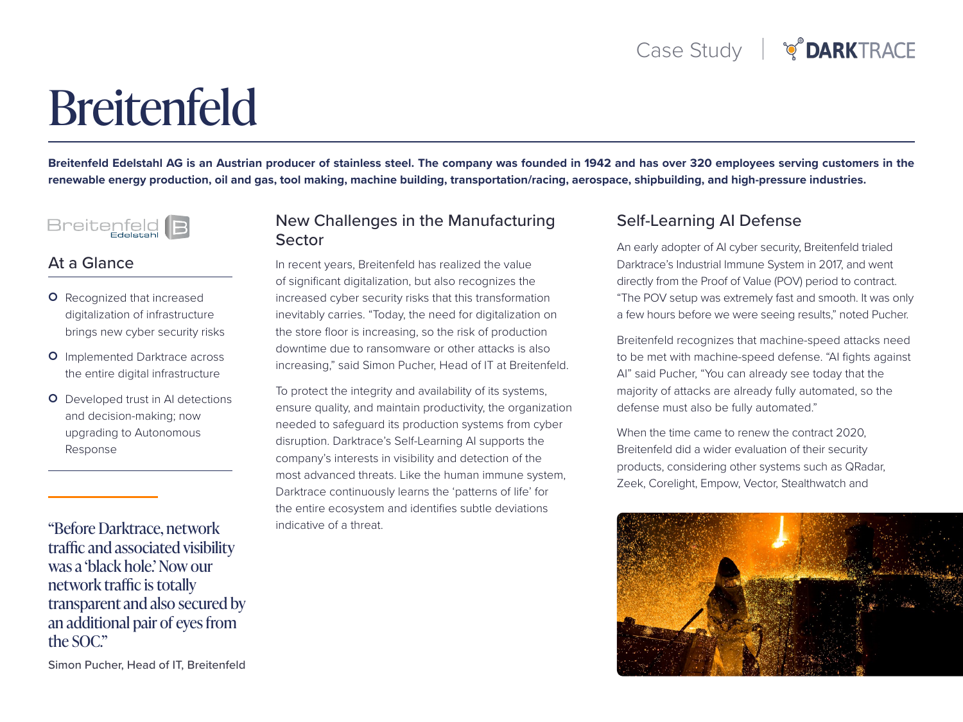# Breitenfeld

Breitenfeld Edelstahl AG is an Austrian producer of stainless steel. The company was founded in 1942 and has over 320 employees serving customers in the renewable energy production, oil and gas, tool making, machine building, transportation/racing, aerospace, shipbuilding, and high-pressure industries.



#### At a Glance

- **O** Recognized that increased digitalization of infrastructure brings new cyber security risks
- **O** Implemented Darktrace across the entire digital infrastructure
- **O** Developed trust in AI detections and decision-making; now upgrading to Autonomous Response

"Before Darktrace, network traffic and associated visibility was a 'black hole.' Now our network traffic is totally transparent and also secured by an additional pair of eyes from the SOC."

#### New Challenges in the Manufacturing **Sector**

In recent years, Breitenfeld has realized the value of significant digitalization, but also recognizes the increased cyber security risks that this transformation inevitably carries. "Today, the need for digitalization on the store floor is increasing, so the risk of production downtime due to ransomware or other attacks is also increasing," said Simon Pucher, Head of IT at Breitenfeld.

To protect the integrity and availability of its systems, ensure quality, and maintain productivity, the organization needed to safeguard its production systems from cyber disruption. Darktrace's Self-Learning AI supports the company's interests in visibility and detection of the most advanced threats. Like the human immune system, Darktrace continuously learns the 'patterns of life' for the entire ecosystem and identifies subtle deviations indicative of a threat.

## Self-Learning AI Defense

An early adopter of AI cyber security, Breitenfeld trialed Darktrace's Industrial Immune System in 2017, and went directly from the Proof of Value (POV) period to contract. "The POV setup was extremely fast and smooth. It was only a few hours before we were seeing results," noted Pucher.

Breitenfeld recognizes that machine-speed attacks need to be met with machine-speed defense. "AI fights against Al" said Pucher, "You can already see today that the majority of attacks are already fully automated, so the defense must also be fully automated."

When the time came to renew the contract 2020. Breitenfeld did a wider evaluation of their security products, considering other systems such as QRadar, Zeek, Corelight, Empow, Vector, Stealthwatch and



Simon Pucher, Head of IT, Breitenfeld